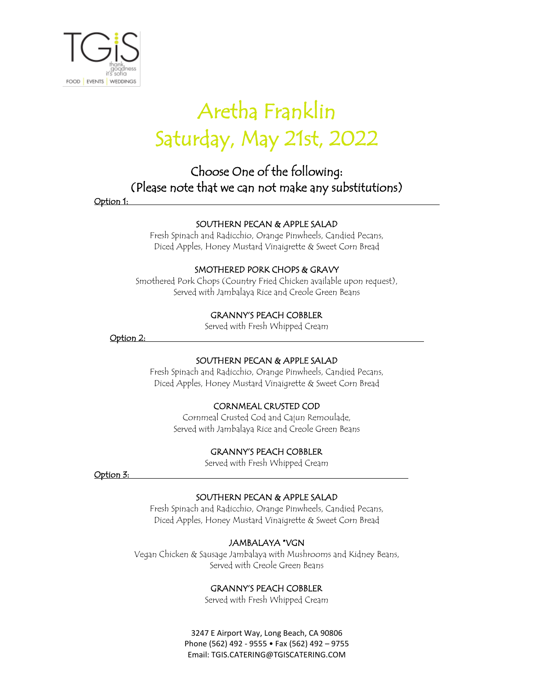

# Aretha Franklin Saturday, May 21st, 2022

### Choose One of the following: (Please note that we can not make any substitutions)

Option 1:

#### SOUTHERN PECAN & APPLE SALAD

Fresh Spinach and Radicchio, Orange Pinwheels, Candied Pecans, Diced Apples, Honey Mustard Vinaigrette & Sweet Corn Bread

#### SMOTHERED PORK CHOPS & GRAVY

Smothered Pork Chops (Country Fried Chicken available upon request), Served with Jambalaya Rice and Creole Green Beans

#### GRANNY'S PEACH COBBLER

Served with Fresh Whipped Cream

Option 2:

#### SOUTHERN PECAN & APPLE SALAD

Fresh Spinach and Radicchio, Orange Pinwheels, Candied Pecans, Diced Apples, Honey Mustard Vinaigrette & Sweet Corn Bread

#### CORNMEAL CRUSTED COD

Cornmeal Crusted Cod and Cajun Remoulade, Served with Jambalaya Rice and Creole Green Beans

#### GRANNY'S PEACH COBBLER

Served with Fresh Whipped Cream

Option 3:

#### SOUTHERN PECAN & APPLE SALAD

Fresh Spinach and Radicchio, Orange Pinwheels, Candied Pecans, Diced Apples, Honey Mustard Vinaigrette & Sweet Corn Bread

#### JAMBALAYA \*VGN

Vegan Chicken & Sausage Jambalaya with Mushrooms and Kidney Beans, Served with Creole Green Beans

#### GRANNY'S PEACH COBBLER

Served with Fresh Whipped Cream

3247 E Airport Way, Long Beach, CA 90806 Phone (562) 492 - 9555 • Fax (562) 492 – 9755 Email: TGIS.CATERING@TGISCATERING.COM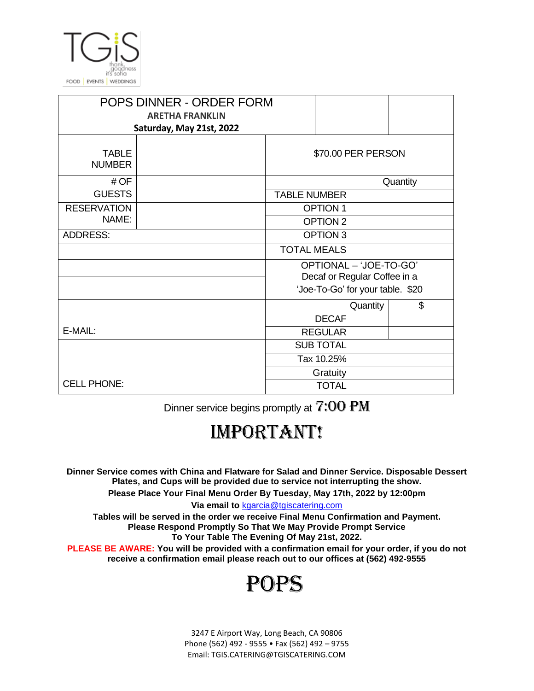

| POPS DINNER - ORDER FORM      |                          |                                  |                     |  |    |
|-------------------------------|--------------------------|----------------------------------|---------------------|--|----|
| <b>ARETHA FRANKLIN</b>        |                          |                                  |                     |  |    |
|                               | Saturday, May 21st, 2022 |                                  |                     |  |    |
| <b>TABLE</b><br><b>NUMBER</b> | \$70.00 PER PERSON       |                                  |                     |  |    |
| # OF                          | Quantity                 |                                  |                     |  |    |
| <b>GUESTS</b>                 |                          |                                  | <b>TABLE NUMBER</b> |  |    |
| <b>RESERVATION</b>            |                          | <b>OPTION 1</b>                  |                     |  |    |
| NAME:                         |                          |                                  | OPTION <sub>2</sub> |  |    |
| <b>ADDRESS:</b>               |                          |                                  | OPTION 3            |  |    |
|                               |                          |                                  | <b>TOTAL MEALS</b>  |  |    |
|                               |                          | OPTIONAL - 'JOE-TO-GO'           |                     |  |    |
|                               |                          | Decaf or Regular Coffee in a     |                     |  |    |
|                               |                          | 'Joe-To-Go' for your table. \$20 |                     |  |    |
|                               |                          |                                  | Quantity            |  | \$ |
|                               |                          |                                  | <b>DECAF</b>        |  |    |
| E-MAIL:                       |                          |                                  | <b>REGULAR</b>      |  |    |
|                               |                          |                                  | <b>SUB TOTAL</b>    |  |    |
|                               |                          |                                  | Tax 10.25%          |  |    |
|                               |                          |                                  | Gratuity            |  |    |
| <b>CELL PHONE:</b>            |                          |                                  | <b>TOTAL</b>        |  |    |

Dinner service begins promptly at 7:00 PM

## **IMPORTANT!**

**Dinner Service comes with China and Flatware for Salad and Dinner Service. Disposable Dessert Plates, and Cups will be provided due to service not interrupting the show. Please Place Your Final Menu Order By Tuesday, May 17th, 2022 by 12:00pm**

**Via email to** kgarcia@tgiscatering.com

**Tables will be served in the order we receive Final Menu Confirmation and Payment. Please Respond Promptly So That We May Provide Prompt Service To Your Table The Evening Of May 21st, 2022.**

**PLEASE BE AWARE: You will be provided with a confirmation email for your order, if you do not receive a confirmation email please reach out to our offices at (562) 492-9555**

## POPS

3247 E Airport Way, Long Beach, CA 90806 Phone (562) 492 - 9555 • Fax (562) 492 – 9755 Email: TGIS.CATERING@TGISCATERING.COM